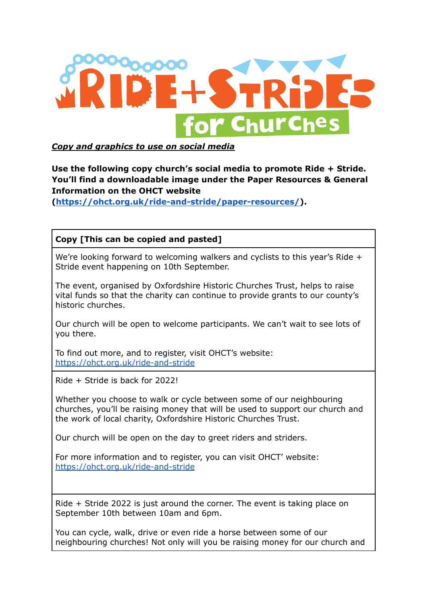

*Copy and graphics to use on social media*

## **Use the following copy church's social media to promote Ride + Stride. You'll find a downloadable image under the Paper Resources & General Information on the OHCT website**

**([https://ohct.org.uk/ride-and-stride/paper-resources/\)](https://ohct.org.uk/ride-and-stride/paper-resources/).**

**Copy [This can be copied and pasted]**

We're looking forward to welcoming walkers and cyclists to this year's Ride + Stride event happening on 10th September.

The event, organised by Oxfordshire Historic Churches Trust, helps to raise vital funds so that the charity can continue to provide grants to our county's historic churches.

Our church will be open to welcome participants. We can't wait to see lots of you there.

To find out more, and to register, visit OHCT's website: <https://ohct.org.uk/ride-and-stride>

Ride + Stride is back for 2022!

Whether you choose to walk or cycle between some of our neighbouring churches, you'll be raising money that will be used to support our church and the work of local charity, Oxfordshire Historic Churches Trust.

Our church will be open on the day to greet riders and striders.

For more information and to register, you can visit OHCT' website: <https://ohct.org.uk/ride-and-stride>

Ride + Stride 2022 is just around the corner. The event is taking place on September 10th between 10am and 6pm.

You can cycle, walk, drive or even ride a horse between some of our neighbouring churches! Not only will you be raising money for our church and